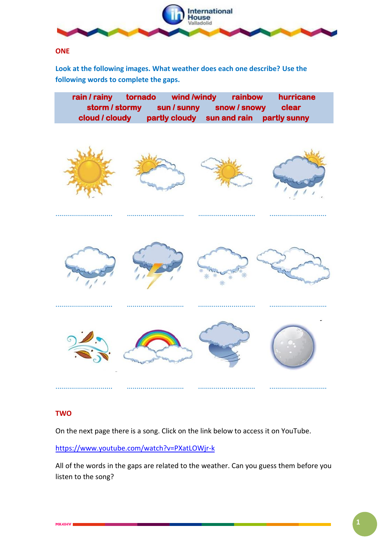

#### **ONE**

**Look at the following images. What weather does each one describe? Use the following words to complete the gaps.**

| rain / rainy<br>storm / stormy<br>cloud / cloudy | tornado<br>partly cloudy | wind /windy<br>rainbow<br>sun / sunny snow / snowy<br>sun and rain | hurricane<br>clear<br>partly sunny |
|--------------------------------------------------|--------------------------|--------------------------------------------------------------------|------------------------------------|
|                                                  |                          |                                                                    |                                    |
|                                                  |                          |                                                                    |                                    |
|                                                  |                          |                                                                    |                                    |

### **TWO**

On the next page there is a song. Click on the link below to access it on YouTube.

............................. ............................. ............................. .............................

<https://www.youtube.com/watch?v=PXatLOWjr-k>

All of the words in the gaps are related to the weather. Can you guess them before you listen to the song?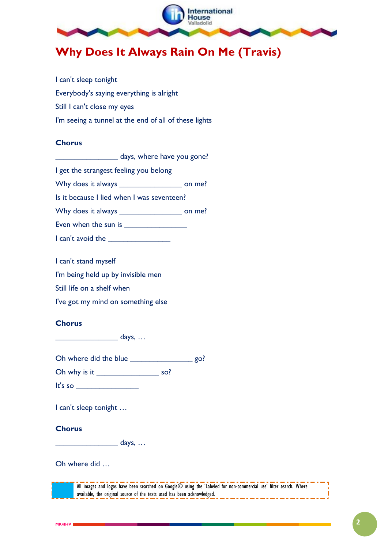

# **Why Does It Always Rain On Me (Travis)**

I can't sleep tonight Everybody's saying everything is alright Still I can't close my eyes I'm seeing a tunnel at the end of all of these lights

#### **Chorus**

**\_\_\_\_\_\_\_\_\_\_\_\_\_\_\_\_** days, where have you gone?

I get the strangest feeling you belong

Why does it always **witch and the set on me?** 

Is it because I lied when I was seventeen?

Why does it always **with always with a set on me?** 

Even when the sun is **with the sun is** 

I can't avoid the **\_\_\_\_\_\_\_\_\_\_\_\_\_\_\_\_**

I can't stand myself

I'm being held up by invisible men

Still life on a shelf when

I've got my mind on something else

### **Chorus**

**\_\_\_\_\_\_\_\_\_\_\_\_\_\_\_\_** days, …

Oh where did the blue **\_\_\_\_\_\_\_\_\_\_\_\_\_\_\_\_** go?

Oh why is it so?

It's so **\_\_\_\_\_\_\_\_\_\_\_\_\_\_\_\_**

I can't sleep tonight …

### **Chorus**

**\_\_\_\_\_\_\_\_\_\_\_\_\_\_\_\_** days, …

Oh where did …

All images and logos have been searched on Google© using the 'Labeled for non-commercial use' filter search. Where available, the original source of the texts used has been acknowledged.